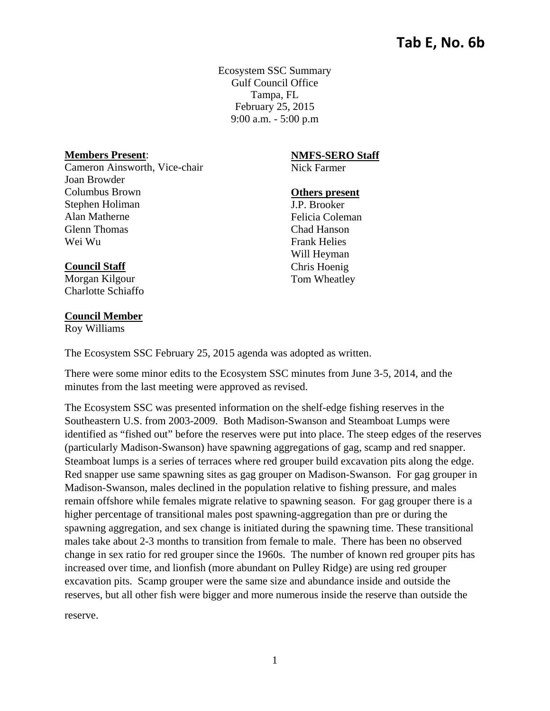Ecosystem SSC Summary Gulf Council Office Tampa, FL February 25, 2015 9:00 a.m. - 5:00 p.m

## **Members Present**:

Cameron Ainsworth, Vice-chair Joan Browder Columbus Brown Stephen Holiman Alan Matherne Glenn Thomas Wei Wu

#### **NMFS-SERO Staff**

Nick Farmer

#### **Others present**

J.P. Brooker Felicia Coleman Chad Hanson Frank Helies Will Heyman Chris Hoenig Tom Wheatley

# **Council Staff**

Morgan Kilgour Charlotte Schiaffo

#### **Council Member**

Roy Williams

The Ecosystem SSC February 25, 2015 agenda was adopted as written.

There were some minor edits to the Ecosystem SSC minutes from June 3-5, 2014, and the minutes from the last meeting were approved as revised.

The Ecosystem SSC was presented information on the shelf-edge fishing reserves in the Southeastern U.S. from 2003-2009. Both Madison-Swanson and Steamboat Lumps were identified as "fished out" before the reserves were put into place. The steep edges of the reserves (particularly Madison-Swanson) have spawning aggregations of gag, scamp and red snapper. Steamboat lumps is a series of terraces where red grouper build excavation pits along the edge. Red snapper use same spawning sites as gag grouper on Madison-Swanson. For gag grouper in Madison-Swanson, males declined in the population relative to fishing pressure, and males remain offshore while females migrate relative to spawning season. For gag grouper there is a higher percentage of transitional males post spawning-aggregation than pre or during the spawning aggregation, and sex change is initiated during the spawning time. These transitional males take about 2-3 months to transition from female to male. There has been no observed change in sex ratio for red grouper since the 1960s. The number of known red grouper pits has increased over time, and lionfish (more abundant on Pulley Ridge) are using red grouper excavation pits. Scamp grouper were the same size and abundance inside and outside the reserves, but all other fish were bigger and more numerous inside the reserve than outside the

reserve.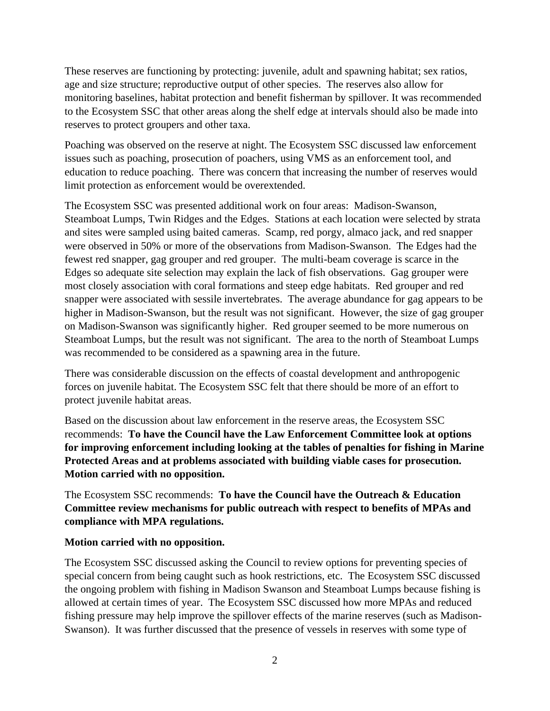These reserves are functioning by protecting: juvenile, adult and spawning habitat; sex ratios, age and size structure; reproductive output of other species. The reserves also allow for monitoring baselines, habitat protection and benefit fisherman by spillover. It was recommended to the Ecosystem SSC that other areas along the shelf edge at intervals should also be made into reserves to protect groupers and other taxa.

Poaching was observed on the reserve at night. The Ecosystem SSC discussed law enforcement issues such as poaching, prosecution of poachers, using VMS as an enforcement tool, and education to reduce poaching. There was concern that increasing the number of reserves would limit protection as enforcement would be overextended.

The Ecosystem SSC was presented additional work on four areas: Madison-Swanson, Steamboat Lumps, Twin Ridges and the Edges. Stations at each location were selected by strata and sites were sampled using baited cameras. Scamp, red porgy, almaco jack, and red snapper were observed in 50% or more of the observations from Madison-Swanson. The Edges had the fewest red snapper, gag grouper and red grouper. The multi-beam coverage is scarce in the Edges so adequate site selection may explain the lack of fish observations. Gag grouper were most closely association with coral formations and steep edge habitats. Red grouper and red snapper were associated with sessile invertebrates. The average abundance for gag appears to be higher in Madison-Swanson, but the result was not significant. However, the size of gag grouper on Madison-Swanson was significantly higher. Red grouper seemed to be more numerous on Steamboat Lumps, but the result was not significant. The area to the north of Steamboat Lumps was recommended to be considered as a spawning area in the future.

There was considerable discussion on the effects of coastal development and anthropogenic forces on juvenile habitat. The Ecosystem SSC felt that there should be more of an effort to protect juvenile habitat areas.

Based on the discussion about law enforcement in the reserve areas, the Ecosystem SSC recommends: **To have the Council have the Law Enforcement Committee look at options for improving enforcement including looking at the tables of penalties for fishing in Marine Protected Areas and at problems associated with building viable cases for prosecution. Motion carried with no opposition.** 

The Ecosystem SSC recommends: **To have the Council have the Outreach & Education Committee review mechanisms for public outreach with respect to benefits of MPAs and compliance with MPA regulations.** 

### **Motion carried with no opposition.**

The Ecosystem SSC discussed asking the Council to review options for preventing species of special concern from being caught such as hook restrictions, etc. The Ecosystem SSC discussed the ongoing problem with fishing in Madison Swanson and Steamboat Lumps because fishing is allowed at certain times of year. The Ecosystem SSC discussed how more MPAs and reduced fishing pressure may help improve the spillover effects of the marine reserves (such as Madison-Swanson). It was further discussed that the presence of vessels in reserves with some type of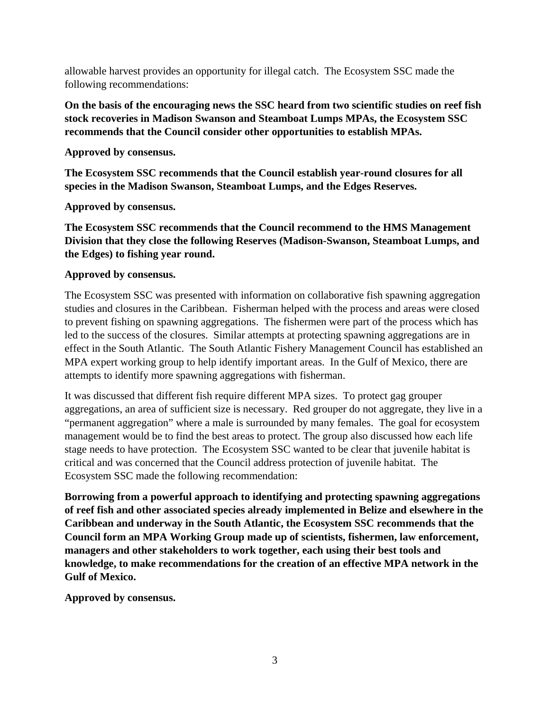allowable harvest provides an opportunity for illegal catch. The Ecosystem SSC made the following recommendations:

**On the basis of the encouraging news the SSC heard from two scientific studies on reef fish stock recoveries in Madison Swanson and Steamboat Lumps MPAs, the Ecosystem SSC recommends that the Council consider other opportunities to establish MPAs.** 

**Approved by consensus.** 

**The Ecosystem SSC recommends that the Council establish year-round closures for all species in the Madison Swanson, Steamboat Lumps, and the Edges Reserves.** 

**Approved by consensus.** 

**The Ecosystem SSC recommends that the Council recommend to the HMS Management Division that they close the following Reserves (Madison-Swanson, Steamboat Lumps, and the Edges) to fishing year round.** 

# **Approved by consensus.**

The Ecosystem SSC was presented with information on collaborative fish spawning aggregation studies and closures in the Caribbean. Fisherman helped with the process and areas were closed to prevent fishing on spawning aggregations. The fishermen were part of the process which has led to the success of the closures. Similar attempts at protecting spawning aggregations are in effect in the South Atlantic. The South Atlantic Fishery Management Council has established an MPA expert working group to help identify important areas. In the Gulf of Mexico, there are attempts to identify more spawning aggregations with fisherman.

It was discussed that different fish require different MPA sizes. To protect gag grouper aggregations, an area of sufficient size is necessary. Red grouper do not aggregate, they live in a "permanent aggregation" where a male is surrounded by many females. The goal for ecosystem management would be to find the best areas to protect. The group also discussed how each life stage needs to have protection. The Ecosystem SSC wanted to be clear that juvenile habitat is critical and was concerned that the Council address protection of juvenile habitat. The Ecosystem SSC made the following recommendation:

**Borrowing from a powerful approach to identifying and protecting spawning aggregations of reef fish and other associated species already implemented in Belize and elsewhere in the Caribbean and underway in the South Atlantic, the Ecosystem SSC recommends that the Council form an MPA Working Group made up of scientists, fishermen, law enforcement, managers and other stakeholders to work together, each using their best tools and knowledge, to make recommendations for the creation of an effective MPA network in the Gulf of Mexico.** 

**Approved by consensus.**